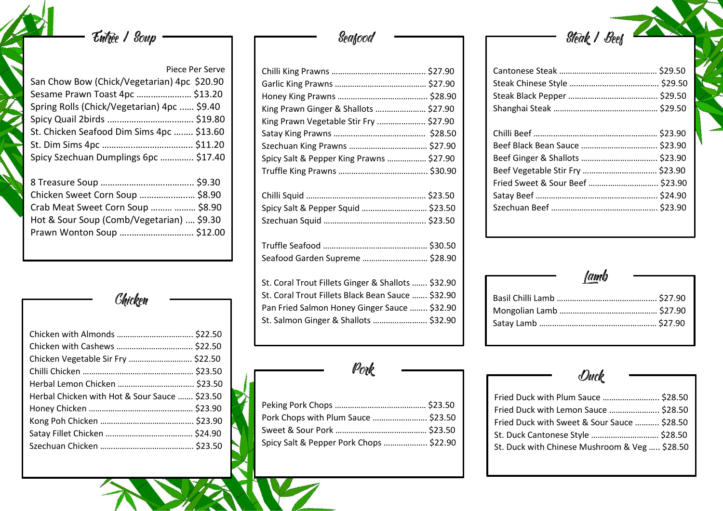# Entrée 1 Soup -

|                                                                                                                    | Piece Per Serve |
|--------------------------------------------------------------------------------------------------------------------|-----------------|
| San Chow Bow (Chick/Vegetarian) 4pc \$20.90                                                                        |                 |
| Sesame Prawn Toast 4pc  \$13.20                                                                                    |                 |
| Spring Rolls (Chick/Vegetarian) 4pc  \$9.40                                                                        |                 |
|                                                                                                                    |                 |
| St. Chicken Seafood Dim Sims 4pc  \$13.60                                                                          |                 |
|                                                                                                                    |                 |
| Spicy Szechuan Dumplings 6pc  \$17.40                                                                              |                 |
| Chicken Sweet Corn Soup  \$8.90<br>Crab Meat Sweet Corn Soup   \$8.90<br>Hot & Sour Soup (Comb/Vegetarian)  \$9.30 |                 |
|                                                                                                                    |                 |
|                                                                                                                    |                 |

Chicken

| Chicken Vegetable Sir Fry  \$22.50<br>Herbal Chicken with Hot & Sour Sauce  \$23.50 |  |
|-------------------------------------------------------------------------------------|--|
|                                                                                     |  |
|                                                                                     |  |
|                                                                                     |  |

## **Seafood**

| King Prawn Ginger & Shallots  \$27.90              |  |
|----------------------------------------------------|--|
| King Prawn Vegetable Stir Fry  \$27.90             |  |
|                                                    |  |
|                                                    |  |
| Spicy Salt & Pepper King Prawns  \$27.90           |  |
|                                                    |  |
|                                                    |  |
| Spicy Salt & Pepper Squid  \$23.50                 |  |
|                                                    |  |
|                                                    |  |
| Seafood Garden Supreme  \$28.90                    |  |
| St. Coral Trout Fillets Ginger & Shallots  \$32.90 |  |

| St. Coral Trout Fillets Gilliger & Stialiots  332.90 |  |
|------------------------------------------------------|--|
| St. Coral Trout Fillets Black Bean Sauce  \$32.90    |  |
| Pan Fried Salmon Honey Ginger Sauce  \$32.90         |  |
| St. Salmon Ginger & Shallots  \$32.90                |  |

Pork

| Pork Chops with Plum Sauce  \$23.50     |  |
|-----------------------------------------|--|
|                                         |  |
| Spicy Salt & Pepper Pork Chops  \$22.90 |  |

Steak / Beef

| Jamb |  |
|------|--|
|      |  |
|      |  |
|      |  |
|      |  |

Duck

| Fried Duck with Plum Sauce  \$28.50           |  |
|-----------------------------------------------|--|
| Fried Duck with Lemon Sauce  \$28.50          |  |
| Fried Duck with Sweet & Sour Sauce  \$28.50   |  |
| St. Duck Cantonese Style  \$28.50             |  |
| St. Duck with Chinese Mushroom & Veg  \$28.50 |  |